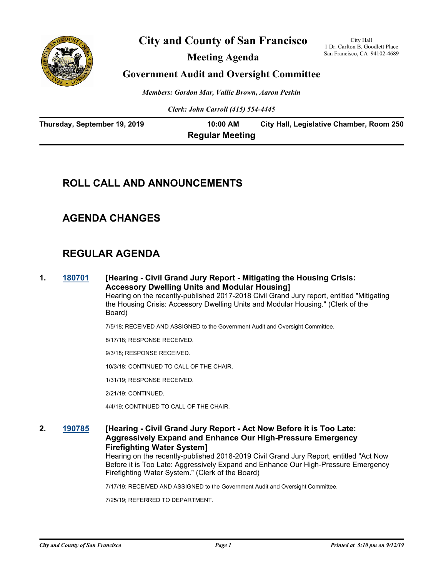

# **City and County of San Francisco**

**Meeting Agenda**

City Hall 1 Dr. Carlton B. Goodlett Place San Francisco, CA 94102-4689

# **Government Audit and Oversight Committee**

*Members: Gordon Mar, Vallie Brown, Aaron Peskin*

*Clerk: John Carroll (415) 554-4445*

| Thursday, September 19, 2019 | 10:00 AM               | City Hall, Legislative Chamber, Room 250 |
|------------------------------|------------------------|------------------------------------------|
|                              | <b>Regular Meeting</b> |                                          |

# **ROLL CALL AND ANNOUNCEMENTS**

# **AGENDA CHANGES**

# **REGULAR AGENDA**

**1. [180701](http://sfgov.legistar.com/gateway.aspx?m=l&id=33570) [Hearing - Civil Grand Jury Report - Mitigating the Housing Crisis: Accessory Dwelling Units and Modular Housing]** Hearing on the recently-published 2017-2018 Civil Grand Jury report, entitled "Mitigating the Housing Crisis: Accessory Dwelling Units and Modular Housing." (Clerk of the Board)

7/5/18; RECEIVED AND ASSIGNED to the Government Audit and Oversight Committee.

8/17/18; RESPONSE RECEIVED.

9/3/18; RESPONSE RECEIVED.

10/3/18; CONTINUED TO CALL OF THE CHAIR.

1/31/19; RESPONSE RECEIVED.

2/21/19; CONTINUED.

4/4/19; CONTINUED TO CALL OF THE CHAIR.

# **2. [190785](http://sfgov.legistar.com/gateway.aspx?m=l&id=34907) [Hearing - Civil Grand Jury Report - Act Now Before it is Too Late: Aggressively Expand and Enhance Our High-Pressure Emergency Firefighting Water System]**

Hearing on the recently-published 2018-2019 Civil Grand Jury Report, entitled "Act Now Before it is Too Late: Aggressively Expand and Enhance Our High-Pressure Emergency Firefighting Water System." (Clerk of the Board)

7/17/19; RECEIVED AND ASSIGNED to the Government Audit and Oversight Committee.

7/25/19; REFERRED TO DEPARTMENT.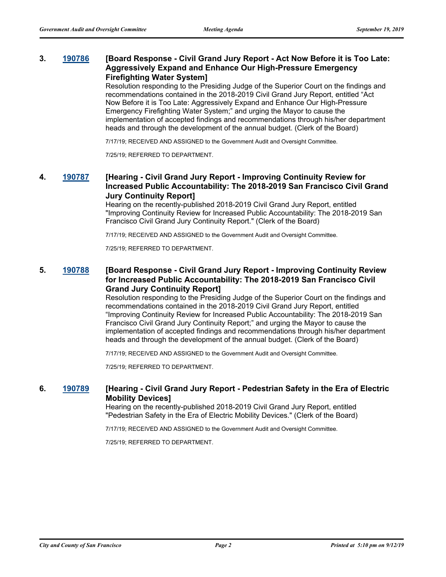### **3. [190786](http://sfgov.legistar.com/gateway.aspx?m=l&id=34908) [Board Response - Civil Grand Jury Report - Act Now Before it is Too Late: Aggressively Expand and Enhance Our High-Pressure Emergency Firefighting Water System]**

Resolution responding to the Presiding Judge of the Superior Court on the findings and recommendations contained in the 2018-2019 Civil Grand Jury Report, entitled "Act Now Before it is Too Late: Aggressively Expand and Enhance Our High-Pressure Emergency Firefighting Water System;" and urging the Mayor to cause the implementation of accepted findings and recommendations through his/her department heads and through the development of the annual budget. (Clerk of the Board)

7/17/19; RECEIVED AND ASSIGNED to the Government Audit and Oversight Committee.

7/25/19; REFERRED TO DEPARTMENT.

# **4. [190787](http://sfgov.legistar.com/gateway.aspx?m=l&id=34909) [Hearing - Civil Grand Jury Report - Improving Continuity Review for Increased Public Accountability: The 2018-2019 San Francisco Civil Grand Jury Continuity Report]**

Hearing on the recently-published 2018-2019 Civil Grand Jury Report, entitled "Improving Continuity Review for Increased Public Accountability: The 2018-2019 San Francisco Civil Grand Jury Continuity Report." (Clerk of the Board)

7/17/19; RECEIVED AND ASSIGNED to the Government Audit and Oversight Committee.

7/25/19; REFERRED TO DEPARTMENT.

# **5. [190788](http://sfgov.legistar.com/gateway.aspx?m=l&id=34910) [Board Response - Civil Grand Jury Report - Improving Continuity Review for Increased Public Accountability: The 2018-2019 San Francisco Civil Grand Jury Continuity Report]**

Resolution responding to the Presiding Judge of the Superior Court on the findings and recommendations contained in the 2018-2019 Civil Grand Jury Report, entitled "Improving Continuity Review for Increased Public Accountability: The 2018-2019 San Francisco Civil Grand Jury Continuity Report;" and urging the Mayor to cause the implementation of accepted findings and recommendations through his/her department heads and through the development of the annual budget. (Clerk of the Board)

7/17/19; RECEIVED AND ASSIGNED to the Government Audit and Oversight Committee.

7/25/19; REFERRED TO DEPARTMENT.

# **6. [190789](http://sfgov.legistar.com/gateway.aspx?m=l&id=34911) [Hearing - Civil Grand Jury Report - Pedestrian Safety in the Era of Electric Mobility Devices]**

Hearing on the recently-published 2018-2019 Civil Grand Jury Report, entitled "Pedestrian Safety in the Era of Electric Mobility Devices." (Clerk of the Board)

7/17/19; RECEIVED AND ASSIGNED to the Government Audit and Oversight Committee.

7/25/19; REFERRED TO DEPARTMENT.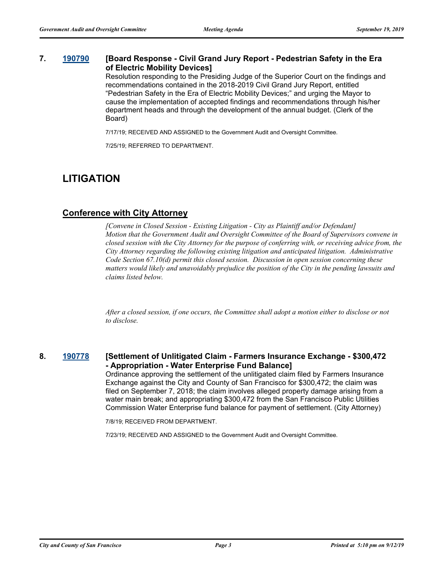# **7. [190790](http://sfgov.legistar.com/gateway.aspx?m=l&id=34912) [Board Response - Civil Grand Jury Report - Pedestrian Safety in the Era of Electric Mobility Devices]**

Resolution responding to the Presiding Judge of the Superior Court on the findings and recommendations contained in the 2018-2019 Civil Grand Jury Report, entitled "Pedestrian Safety in the Era of Electric Mobility Devices;" and urging the Mayor to cause the implementation of accepted findings and recommendations through his/her department heads and through the development of the annual budget. (Clerk of the Board)

7/17/19; RECEIVED AND ASSIGNED to the Government Audit and Oversight Committee.

7/25/19; REFERRED TO DEPARTMENT.

# **LITIGATION**

# **Conference with City Attorney**

*[Convene in Closed Session - Existing Litigation - City as Plaintiff and/or Defendant] Motion that the Government Audit and Oversight Committee of the Board of Supervisors convene in closed session with the City Attorney for the purpose of conferring with, or receiving advice from, the City Attorney regarding the following existing litigation and anticipated litigation. Administrative Code Section 67.10(d) permit this closed session. Discussion in open session concerning these matters would likely and unavoidably prejudice the position of the City in the pending lawsuits and claims listed below.*

*After a closed session, if one occurs, the Committee shall adopt a motion either to disclose or not to disclose.*

### **8. [190778](http://sfgov.legistar.com/gateway.aspx?m=l&id=34900) [Settlement of Unlitigated Claim - Farmers Insurance Exchange - \$300,472 - Appropriation - Water Enterprise Fund Balance]**

Ordinance approving the settlement of the unlitigated claim filed by Farmers Insurance Exchange against the City and County of San Francisco for \$300,472; the claim was filed on September 7, 2018; the claim involves alleged property damage arising from a water main break; and appropriating \$300,472 from the San Francisco Public Utilities Commission Water Enterprise fund balance for payment of settlement. (City Attorney)

7/8/19; RECEIVED FROM DEPARTMENT.

7/23/19; RECEIVED AND ASSIGNED to the Government Audit and Oversight Committee.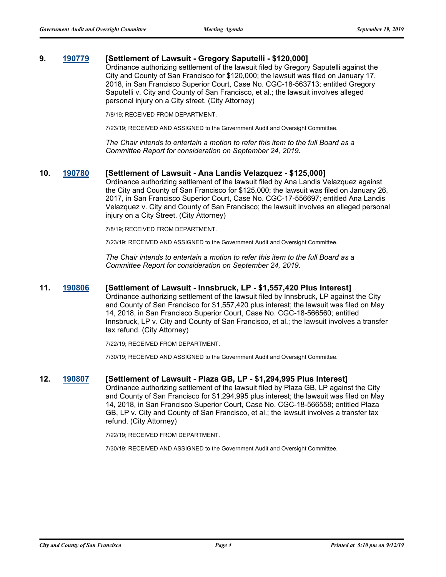### **9. [190779](http://sfgov.legistar.com/gateway.aspx?m=l&id=34901) [Settlement of Lawsuit - Gregory Saputelli - \$120,000]**

Ordinance authorizing settlement of the lawsuit filed by Gregory Saputelli against the City and County of San Francisco for \$120,000; the lawsuit was filed on January 17, 2018, in San Francisco Superior Court, Case No. CGC-18-563713; entitled Gregory Saputelli v. City and County of San Francisco, et al.; the lawsuit involves alleged personal injury on a City street. (City Attorney)

7/8/19; RECEIVED FROM DEPARTMENT.

7/23/19; RECEIVED AND ASSIGNED to the Government Audit and Oversight Committee.

*The Chair intends to entertain a motion to refer this item to the full Board as a Committee Report for consideration on September 24, 2019.*

#### **10. [190780](http://sfgov.legistar.com/gateway.aspx?m=l&id=34902) [Settlement of Lawsuit - Ana Landis Velazquez - \$125,000]**

Ordinance authorizing settlement of the lawsuit filed by Ana Landis Velazquez against the City and County of San Francisco for \$125,000; the lawsuit was filed on January 26, 2017, in San Francisco Superior Court, Case No. CGC-17-556697; entitled Ana Landis Velazquez v. City and County of San Francisco; the lawsuit involves an alleged personal injury on a City Street. (City Attorney)

7/8/19; RECEIVED FROM DEPARTMENT.

7/23/19; RECEIVED AND ASSIGNED to the Government Audit and Oversight Committee.

*The Chair intends to entertain a motion to refer this item to the full Board as a Committee Report for consideration on September 24, 2019.*

#### **11. [190806](http://sfgov.legistar.com/gateway.aspx?m=l&id=34928) [Settlement of Lawsuit - Innsbruck, LP - \$1,557,420 Plus Interest]**

Ordinance authorizing settlement of the lawsuit filed by Innsbruck, LP against the City and County of San Francisco for \$1,557,420 plus interest; the lawsuit was filed on May 14, 2018, in San Francisco Superior Court, Case No. CGC-18-566560; entitled Innsbruck, LP v. City and County of San Francisco, et al.; the lawsuit involves a transfer tax refund. (City Attorney)

7/22/19; RECEIVED FROM DEPARTMENT.

7/30/19; RECEIVED AND ASSIGNED to the Government Audit and Oversight Committee.

#### **12. [190807](http://sfgov.legistar.com/gateway.aspx?m=l&id=34929) [Settlement of Lawsuit - Plaza GB, LP - \$1,294,995 Plus Interest]**

Ordinance authorizing settlement of the lawsuit filed by Plaza GB, LP against the City and County of San Francisco for \$1,294,995 plus interest; the lawsuit was filed on May 14, 2018, in San Francisco Superior Court, Case No. CGC-18-566558; entitled Plaza GB, LP v. City and County of San Francisco, et al.; the lawsuit involves a transfer tax refund. (City Attorney)

7/22/19; RECEIVED FROM DEPARTMENT.

7/30/19; RECEIVED AND ASSIGNED to the Government Audit and Oversight Committee.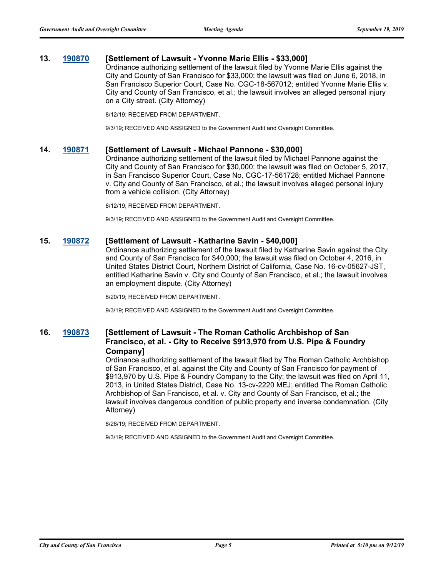#### **13. [190870](http://sfgov.legistar.com/gateway.aspx?m=l&id=34992) [Settlement of Lawsuit - Yvonne Marie Ellis - \$33,000]**

Ordinance authorizing settlement of the lawsuit filed by Yvonne Marie Ellis against the City and County of San Francisco for \$33,000; the lawsuit was filed on June 6, 2018, in San Francisco Superior Court, Case No. CGC-18-567012; entitled Yvonne Marie Ellis v. City and County of San Francisco, et al.; the lawsuit involves an alleged personal injury on a City street. (City Attorney)

8/12/19; RECEIVED FROM DEPARTMENT.

9/3/19; RECEIVED AND ASSIGNED to the Government Audit and Oversight Committee.

#### **14. [190871](http://sfgov.legistar.com/gateway.aspx?m=l&id=34993) [Settlement of Lawsuit - Michael Pannone - \$30,000]**

Ordinance authorizing settlement of the lawsuit filed by Michael Pannone against the City and County of San Francisco for \$30,000; the lawsuit was filed on October 5, 2017, in San Francisco Superior Court, Case No. CGC-17-561728; entitled Michael Pannone v. City and County of San Francisco, et al.; the lawsuit involves alleged personal injury from a vehicle collision. (City Attorney)

8/12/19; RECEIVED FROM DEPARTMENT.

9/3/19; RECEIVED AND ASSIGNED to the Government Audit and Oversight Committee.

#### **15. [190872](http://sfgov.legistar.com/gateway.aspx?m=l&id=34994) [Settlement of Lawsuit - Katharine Savin - \$40,000]**

Ordinance authorizing settlement of the lawsuit filed by Katharine Savin against the City and County of San Francisco for \$40,000; the lawsuit was filed on October 4, 2016, in United States District Court, Northern District of California, Case No. 16-cv-05627-JST, entitled Katharine Savin v. City and County of San Francisco, et al.; the lawsuit involves an employment dispute. (City Attorney)

8/20/19; RECEIVED FROM DEPARTMENT.

9/3/19; RECEIVED AND ASSIGNED to the Government Audit and Oversight Committee.

# **16. [190873](http://sfgov.legistar.com/gateway.aspx?m=l&id=34995) [Settlement of Lawsuit - The Roman Catholic Archbishop of San Francisco, et al. - City to Receive \$913,970 from U.S. Pipe & Foundry Company]**

Ordinance authorizing settlement of the lawsuit filed by The Roman Catholic Archbishop of San Francisco, et al. against the City and County of San Francisco for payment of \$913,970 by U.S. Pipe & Foundry Company to the City; the lawsuit was filed on April 11, 2013, in United States District, Case No. 13-cv-2220 MEJ; entitled The Roman Catholic Archbishop of San Francisco, et al. v. City and County of San Francisco, et al.; the lawsuit involves dangerous condition of public property and inverse condemnation. (City Attorney)

8/26/19; RECEIVED FROM DEPARTMENT.

9/3/19; RECEIVED AND ASSIGNED to the Government Audit and Oversight Committee.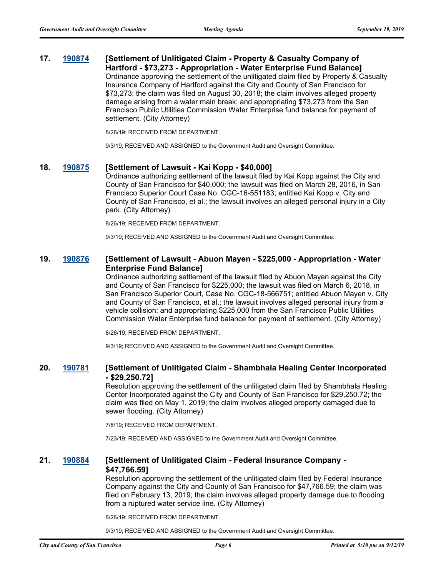#### **17. [190874](http://sfgov.legistar.com/gateway.aspx?m=l&id=34996) [Settlement of Unlitigated Claim - Property & Casualty Company of Hartford - \$73,273 - Appropriation - Water Enterprise Fund Balance]** Ordinance approving the settlement of the unlitigated claim filed by Property & Casualty Insurance Company of Hartford against the City and County of San Francisco for \$73,273; the claim was filed on August 30, 2018; the claim involves alleged property damage arising from a water main break; and appropriating \$73,273 from the San Francisco Public Utilities Commission Water Enterprise fund balance for payment of

8/26/19; RECEIVED FROM DEPARTMENT.

9/3/19; RECEIVED AND ASSIGNED to the Government Audit and Oversight Committee.

#### **18. [190875](http://sfgov.legistar.com/gateway.aspx?m=l&id=34997) [Settlement of Lawsuit - Kai Kopp - \$40,000]**

settlement. (City Attorney)

Ordinance authorizing settlement of the lawsuit filed by Kai Kopp against the City and County of San Francisco for \$40,000; the lawsuit was filed on March 28, 2016, in San Francisco Superior Court Case No. CGC-16-551183; entitled Kai Kopp v. City and County of San Francisco, et al.; the lawsuit involves an alleged personal injury in a City park. (City Attorney)

8/26/19; RECEIVED FROM DEPARTMENT.

9/3/19; RECEIVED AND ASSIGNED to the Government Audit and Oversight Committee.

### **19. [190876](http://sfgov.legistar.com/gateway.aspx?m=l&id=34998) [Settlement of Lawsuit - Abuon Mayen - \$225,000 - Appropriation - Water Enterprise Fund Balance]**

Ordinance authorizing settlement of the lawsuit filed by Abuon Mayen against the City and County of San Francisco for \$225,000; the lawsuit was filed on March 6, 2018, in San Francisco Superior Court, Case No. CGC-18-566751; entitled Abuon Mayen v. City and County of San Francisco, et al.; the lawsuit involves alleged personal injury from a vehicle collision; and appropriating \$225,000 from the San Francisco Public Utilities Commission Water Enterprise fund balance for payment of settlement. (City Attorney)

8/26/19; RECEIVED FROM DEPARTMENT.

9/3/19; RECEIVED AND ASSIGNED to the Government Audit and Oversight Committee.

#### **20. [190781](http://sfgov.legistar.com/gateway.aspx?m=l&id=34903) [Settlement of Unlitigated Claim - Shambhala Healing Center Incorporated - \$29,250.72]**

Resolution approving the settlement of the unlitigated claim filed by Shambhala Healing Center Incorporated against the City and County of San Francisco for \$29,250.72; the claim was filed on May 1, 2019; the claim involves alleged property damaged due to sewer flooding. (City Attorney)

7/8/19; RECEIVED FROM DEPARTMENT.

7/23/19; RECEIVED AND ASSIGNED to the Government Audit and Oversight Committee.

# **21. [190884](http://sfgov.legistar.com/gateway.aspx?m=l&id=35006) [Settlement of Unlitigated Claim - Federal Insurance Company - \$47,766.59]**

Resolution approving the settlement of the unlitigated claim filed by Federal Insurance Company against the City and County of San Francisco for \$47,766.59; the claim was filed on February 13, 2019; the claim involves alleged property damage due to flooding from a ruptured water service line. (City Attorney)

8/26/19; RECEIVED FROM DEPARTMENT.

9/3/19; RECEIVED AND ASSIGNED to the Government Audit and Oversight Committee.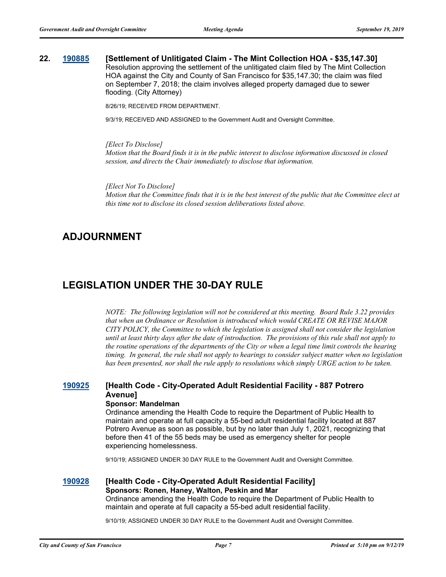#### **22. [190885](http://sfgov.legistar.com/gateway.aspx?m=l&id=35007) [Settlement of Unlitigated Claim - The Mint Collection HOA - \$35,147.30]** Resolution approving the settlement of the unlitigated claim filed by The Mint Collection HOA against the City and County of San Francisco for \$35,147.30; the claim was filed on September 7, 2018; the claim involves alleged property damaged due to sewer flooding. (City Attorney)

8/26/19; RECEIVED FROM DEPARTMENT.

9/3/19; RECEIVED AND ASSIGNED to the Government Audit and Oversight Committee.

*[Elect To Disclose] Motion that the Board finds it is in the public interest to disclose information discussed in closed session, and directs the Chair immediately to disclose that information.*

*[Elect Not To Disclose] Motion that the Committee finds that it is in the best interest of the public that the Committee elect at this time not to disclose its closed session deliberations listed above.*

# **ADJOURNMENT**

# **LEGISLATION UNDER THE 30-DAY RULE**

*NOTE: The following legislation will not be considered at this meeting. Board Rule 3.22 provides that when an Ordinance or Resolution is introduced which would CREATE OR REVISE MAJOR CITY POLICY, the Committee to which the legislation is assigned shall not consider the legislation until at least thirty days after the date of introduction. The provisions of this rule shall not apply to the routine operations of the departments of the City or when a legal time limit controls the hearing timing. In general, the rule shall not apply to hearings to consider subject matter when no legislation has been presented, nor shall the rule apply to resolutions which simply URGE action to be taken.*

# **[190925](http://sfgov.legistar.com/gateway.aspx?m=l&id=35047) [Health Code - City-Operated Adult Residential Facility - 887 Potrero Avenue]**

#### **Sponsor: Mandelman**

Ordinance amending the Health Code to require the Department of Public Health to maintain and operate at full capacity a 55-bed adult residential facility located at 887 Potrero Avenue as soon as possible, but by no later than July 1, 2021, recognizing that before then 41 of the 55 beds may be used as emergency shelter for people experiencing homelessness.

9/10/19; ASSIGNED UNDER 30 DAY RULE to the Government Audit and Oversight Committee.

**[190928](http://sfgov.legistar.com/gateway.aspx?m=l&id=35050) [Health Code - City-Operated Adult Residential Facility] Sponsors: Ronen, Haney, Walton, Peskin and Mar** Ordinance amending the Health Code to require the Department of Public Health to maintain and operate at full capacity a 55-bed adult residential facility.

9/10/19; ASSIGNED UNDER 30 DAY RULE to the Government Audit and Oversight Committee.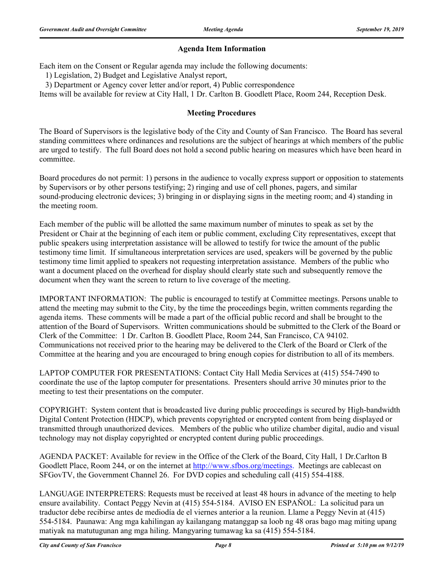# **Agenda Item Information**

Each item on the Consent or Regular agenda may include the following documents:

1) Legislation, 2) Budget and Legislative Analyst report,

3) Department or Agency cover letter and/or report, 4) Public correspondence

Items will be available for review at City Hall, 1 Dr. Carlton B. Goodlett Place, Room 244, Reception Desk.

# **Meeting Procedures**

The Board of Supervisors is the legislative body of the City and County of San Francisco. The Board has several standing committees where ordinances and resolutions are the subject of hearings at which members of the public are urged to testify. The full Board does not hold a second public hearing on measures which have been heard in committee.

Board procedures do not permit: 1) persons in the audience to vocally express support or opposition to statements by Supervisors or by other persons testifying; 2) ringing and use of cell phones, pagers, and similar sound-producing electronic devices; 3) bringing in or displaying signs in the meeting room; and 4) standing in the meeting room.

Each member of the public will be allotted the same maximum number of minutes to speak as set by the President or Chair at the beginning of each item or public comment, excluding City representatives, except that public speakers using interpretation assistance will be allowed to testify for twice the amount of the public testimony time limit. If simultaneous interpretation services are used, speakers will be governed by the public testimony time limit applied to speakers not requesting interpretation assistance. Members of the public who want a document placed on the overhead for display should clearly state such and subsequently remove the document when they want the screen to return to live coverage of the meeting.

IMPORTANT INFORMATION: The public is encouraged to testify at Committee meetings. Persons unable to attend the meeting may submit to the City, by the time the proceedings begin, written comments regarding the agenda items. These comments will be made a part of the official public record and shall be brought to the attention of the Board of Supervisors. Written communications should be submitted to the Clerk of the Board or Clerk of the Committee: 1 Dr. Carlton B. Goodlett Place, Room 244, San Francisco, CA 94102. Communications not received prior to the hearing may be delivered to the Clerk of the Board or Clerk of the Committee at the hearing and you are encouraged to bring enough copies for distribution to all of its members.

LAPTOP COMPUTER FOR PRESENTATIONS: Contact City Hall Media Services at (415) 554-7490 to coordinate the use of the laptop computer for presentations. Presenters should arrive 30 minutes prior to the meeting to test their presentations on the computer.

COPYRIGHT: System content that is broadcasted live during public proceedings is secured by High-bandwidth Digital Content Protection (HDCP), which prevents copyrighted or encrypted content from being displayed or transmitted through unauthorized devices. Members of the public who utilize chamber digital, audio and visual technology may not display copyrighted or encrypted content during public proceedings.

AGENDA PACKET: Available for review in the Office of the Clerk of the Board, City Hall, 1 Dr.Carlton B Goodlett Place, Room 244, or on the internet at http://www.sfbos.org/meetings. Meetings are cablecast on SFGovTV, the Government Channel 26. For DVD copies and scheduling call (415) 554-4188.

LANGUAGE INTERPRETERS: Requests must be received at least 48 hours in advance of the meeting to help ensure availability. Contact Peggy Nevin at (415) 554-5184. AVISO EN ESPAÑOL: La solicitud para un traductor debe recibirse antes de mediodía de el viernes anterior a la reunion. Llame a Peggy Nevin at (415) 554-5184. Paunawa: Ang mga kahilingan ay kailangang matanggap sa loob ng 48 oras bago mag miting upang matiyak na matutugunan ang mga hiling. Mangyaring tumawag ka sa (415) 554-5184.